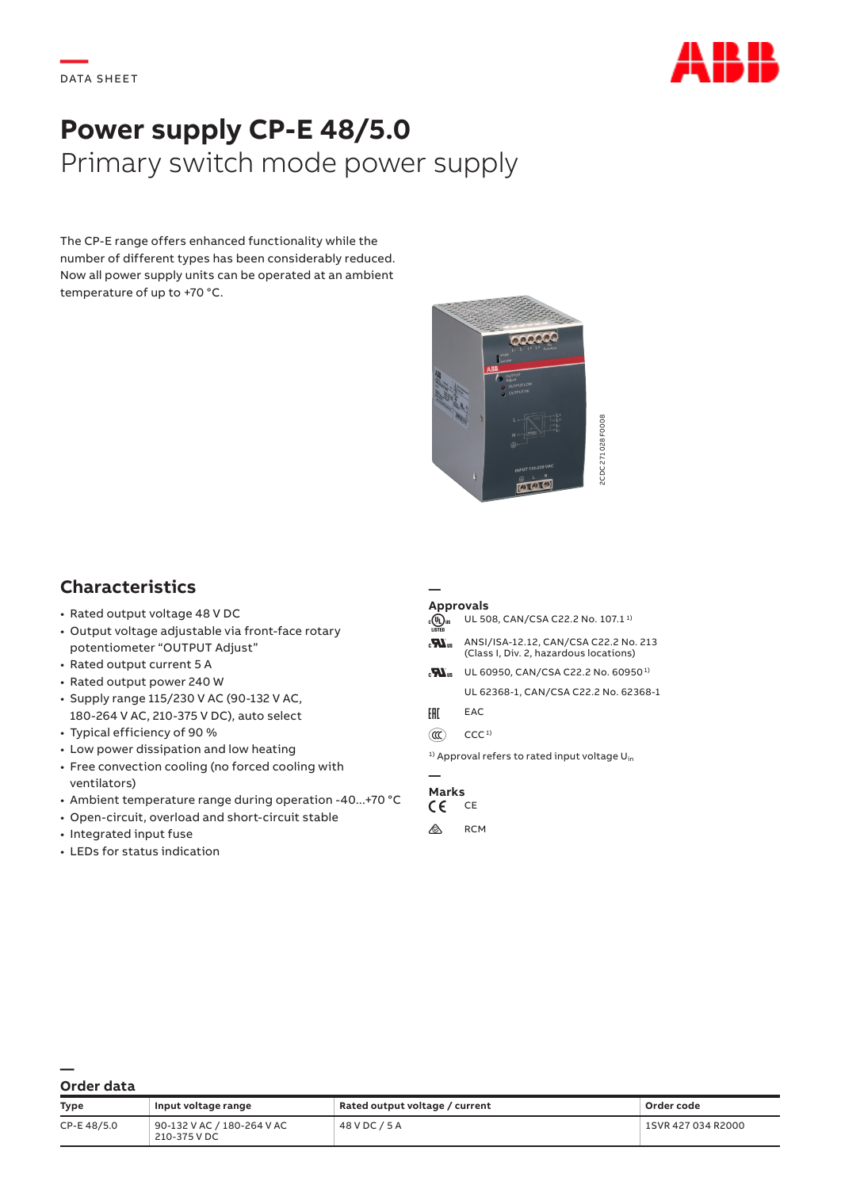

# **Power supply CP-E 48/5.0** Primary switch mode power supply

The CP-E range offers enhanced functionality while the number of different types has been considerably reduced. Now all power supply units can be operated at an ambient temperature of up to +70 °C.



## **Characteristics**

- Rated output voltage 48 V DC
- Output voltage adjustable via front-face rotary potentiometer "OUTPUT Adjust"
- Rated output current 5 A
- Rated output power 240 W
- Supply range 115/230 V AC (90-132 V AC, 180-264 V AC, 210-375 V DC), auto select
- Typical efficiency of 90 %
- Low power dissipation and low heating
- Free convection cooling (no forced cooling with ventilators)
- Ambient temperature range during operation -40...+70 °C
- Open-circuit, overload and short-circuit stable
- Integrated input fuse
- LEDs for status indication

### **Approvals**

| <sup>1)</sup> Approval refers to rated input voltage U <sub>in</sub><br>Order code<br>1SVR 427 034 R2000 |
|----------------------------------------------------------------------------------------------------------|
|                                                                                                          |
|                                                                                                          |
|                                                                                                          |
|                                                                                                          |
|                                                                                                          |
|                                                                                                          |
|                                                                                                          |
| UL 62368-1, CAN/CSA C22.2 No. 62368-1                                                                    |
| UL 60950, CAN/CSA C22.2 No. 60950 <sup>1)</sup>                                                          |
| ANSI/ISA-12.12, CAN/CSA C22.2 No. 213<br>(Class I, Div. 2, hazardous locations)                          |
| UL 508, CAN/CSA C22.2 No. 107.1 <sup>1)</sup>                                                            |
| <b>PUT 115-230 VAC</b><br>[AB                                                                            |

#### **— Marks**<br>CF CE a CE

### **— Order data**

| <b>Type</b> | Input voltage range                        | Rated output voltage / current | Order code         |
|-------------|--------------------------------------------|--------------------------------|--------------------|
| CP-E48/5.0  | 90-132 V AC / 180-264 V AC<br>210-375 V DC | 48 V DC / 5 A                  | 1SVR 427 034 R2000 |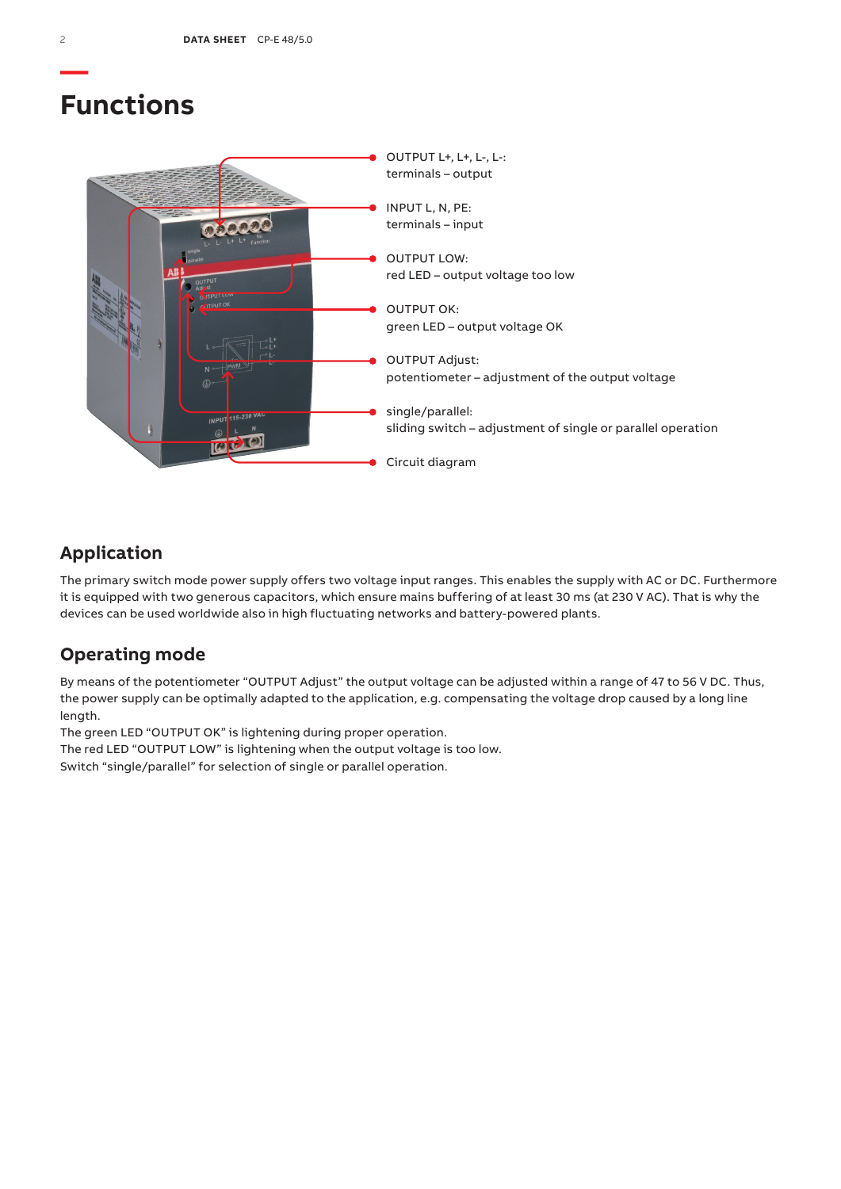## **Functions**



## **Application**

The primary switch mode power supply offers two voltage input ranges. This enables the supply with AC or DC. Furthermore it is equipped with two generous capacitors, which ensure mains buffering of at least 30 ms (at 230 V AC). That is why the devices can be used worldwide also in high fluctuating networks and battery-powered plants.

## **Operating mode**

By means of the potentiometer "OUTPUT Adjust" the output voltage can be adjusted within a range of 47 to 56 V DC. Thus, the power supply can be optimally adapted to the application, e.g. compensating the voltage drop caused by a long line length.

The green LED "OUTPUT OK" is lightening during proper operation.

The red LED "OUTPUT LOW" is lightening when the output voltage is too low.

Switch "single/parallel" for selection of single or parallel operation.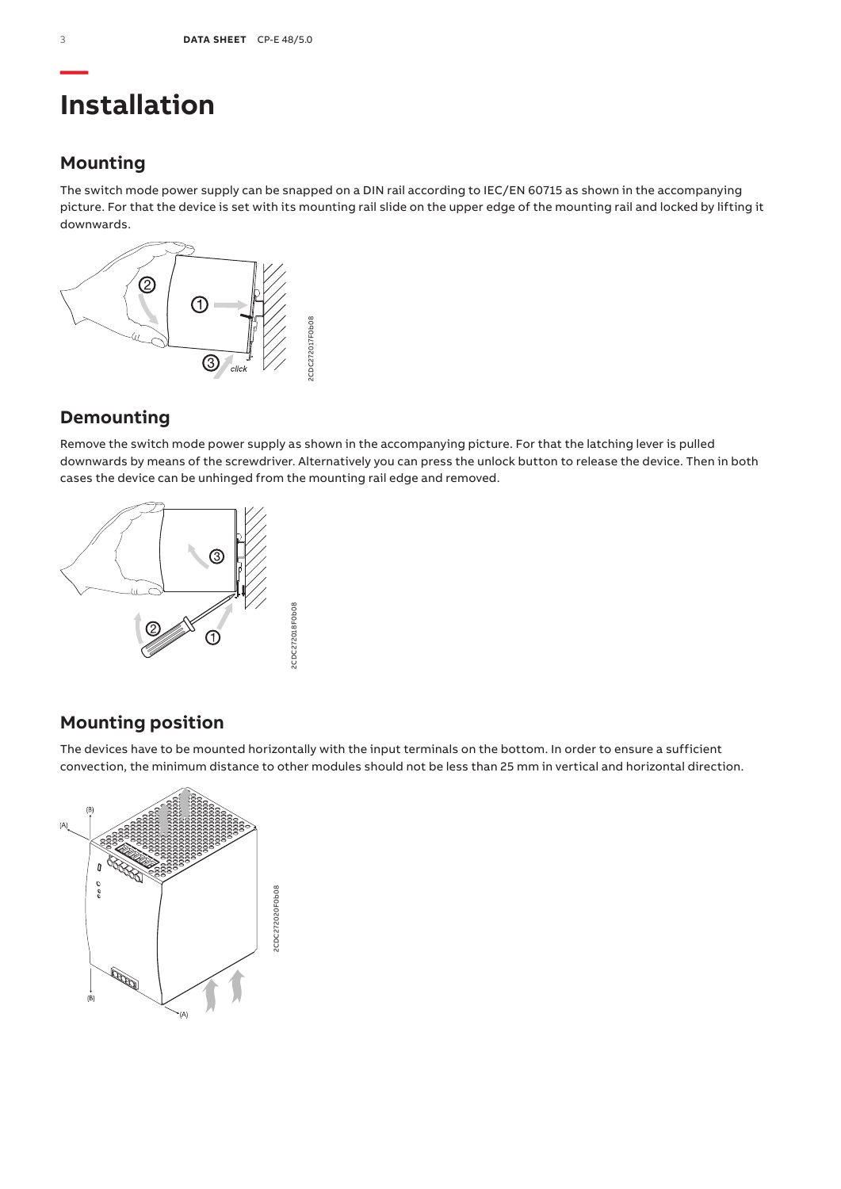## **Installation**

### **Mounting**

The switch mode power supply can be snapped on a DIN rail according to IEC/EN 60715 as shown in the accompanying picture. For that the device is set with its mounting rail slide on the upper edge of the mounting rail and locked by lifting it downwards.



### **Demounting**

Remove the switch mode power supply as shown in the accompanying picture. For that the latching lever is pulled downwards by means of the screwdriver. Alternatively you can press the unlock button to release the device. Then in both cases the device can be unhinged from the mounting rail edge and removed.



## **Mounting position**

The devices have to be mounted horizontally with the input terminals on the bottom. In order to ensure a sufficient convection, the minimum distance to other modules should not be less than 25 mm in vertical and horizontal direction.

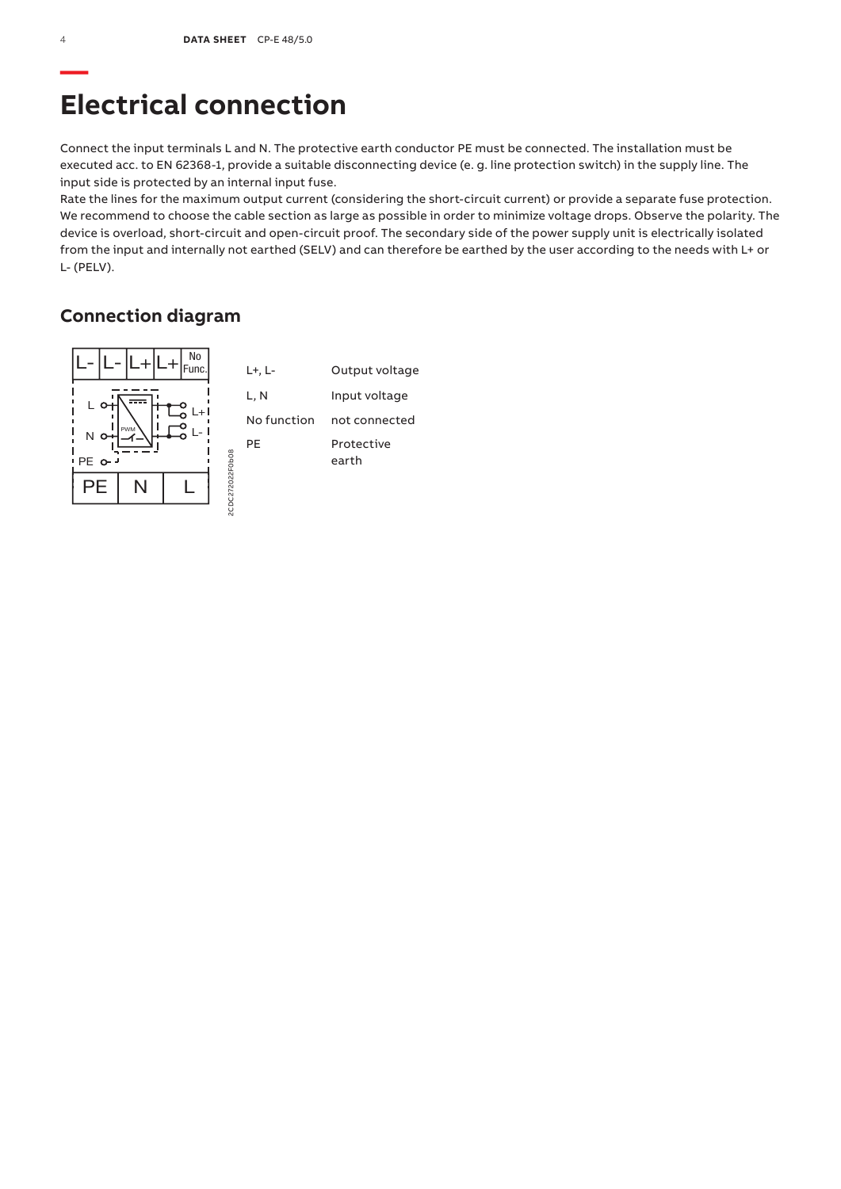# **Electrical connection**

Connect the input terminals L and N. The protective earth conductor PE must be connected. The installation must be executed acc. to EN 62368-1, provide a suitable disconnecting device (e. g. line protection switch) in the supply line. The input side is protected by an internal input fuse.

Rate the lines for the maximum output current (considering the short-circuit current) or provide a separate fuse protection. We recommend to choose the cable section as large as possible in order to minimize voltage drops. Observe the polarity. The device is overload, short-circuit and open-circuit proof. The secondary side of the power supply unit is electrically isolated from the input and internally not earthed (SELV) and can therefore be earthed by the user according to the needs with L+ or L- (PELV).

## **Connection diagram**

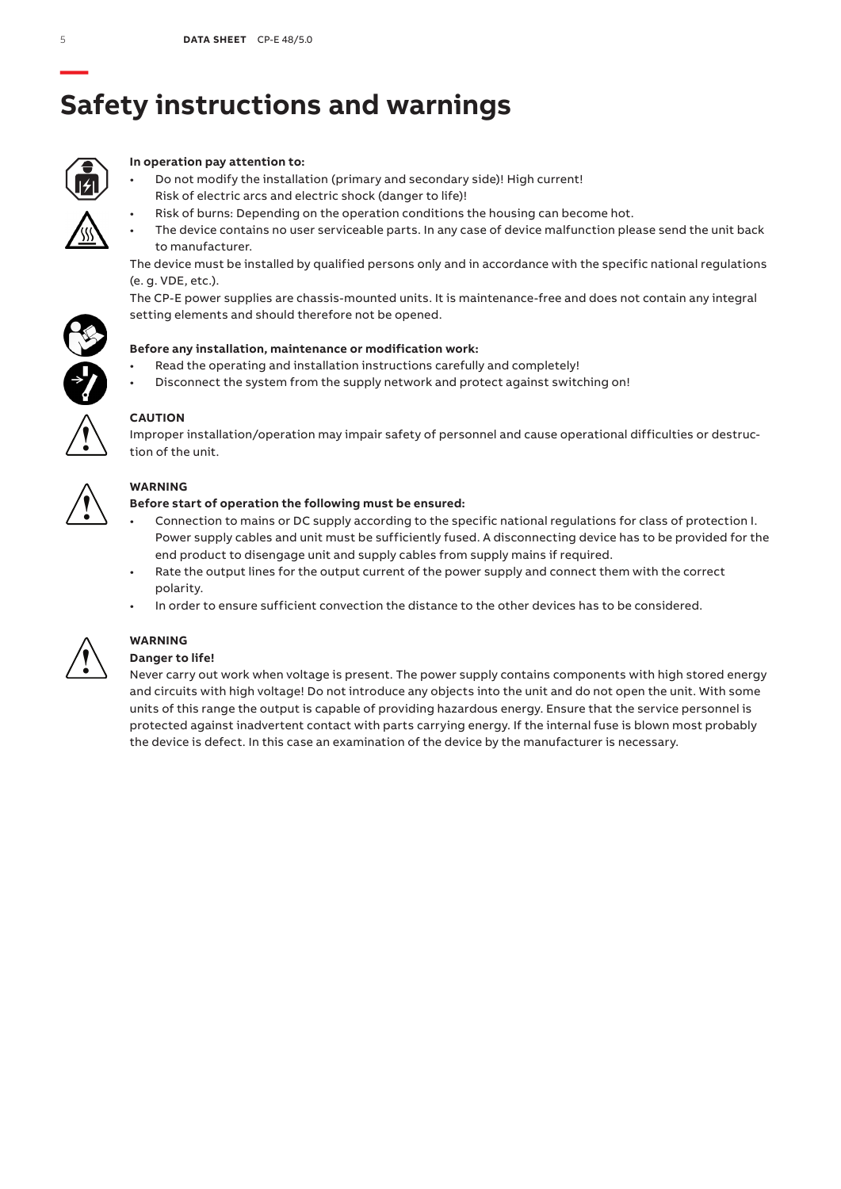# **— Safety instructions and warnings**



### **In operation pay attention to:**

- Do not modify the installation (primary and secondary side)! High current! Risk of electric arcs and electric shock (danger to life)!
	- Risk of burns: Depending on the operation conditions the housing can become hot.
- The device contains no user serviceable parts. In any case of device malfunction please send the unit back to manufacturer.

The device must be installed by qualified persons only and in accordance with the specific national regulations (e. g. VDE, etc.).

The CP-E power supplies are chassis-mounted units. It is maintenance-free and does not contain any integral setting elements and should therefore not be opened.



- Read the operating and installation instructions carefully and completely!
- Disconnect the system from the supply network and protect against switching on!



### **CAUTION**

Improper installation/operation may impair safety of personnel and cause operational difficulties or destruction of the unit.



### **WARNING**

### **Before start of operation the following must be ensured:**

- Connection to mains or DC supply according to the specific national regulations for class of protection I. Power supply cables and unit must be sufficiently fused. A disconnecting device has to be provided for the end product to disengage unit and supply cables from supply mains if required.
- Rate the output lines for the output current of the power supply and connect them with the correct polarity.
- In order to ensure sufficient convection the distance to the other devices has to be considered.



## **WARNING**

## **Danger to life!**

Never carry out work when voltage is present. The power supply contains components with high stored energy and circuits with high voltage! Do not introduce any objects into the unit and do not open the unit. With some units of this range the output is capable of providing hazardous energy. Ensure that the service personnel is protected against inadvertent contact with parts carrying energy. If the internal fuse is blown most probably the device is defect. In this case an examination of the device by the manufacturer is necessary.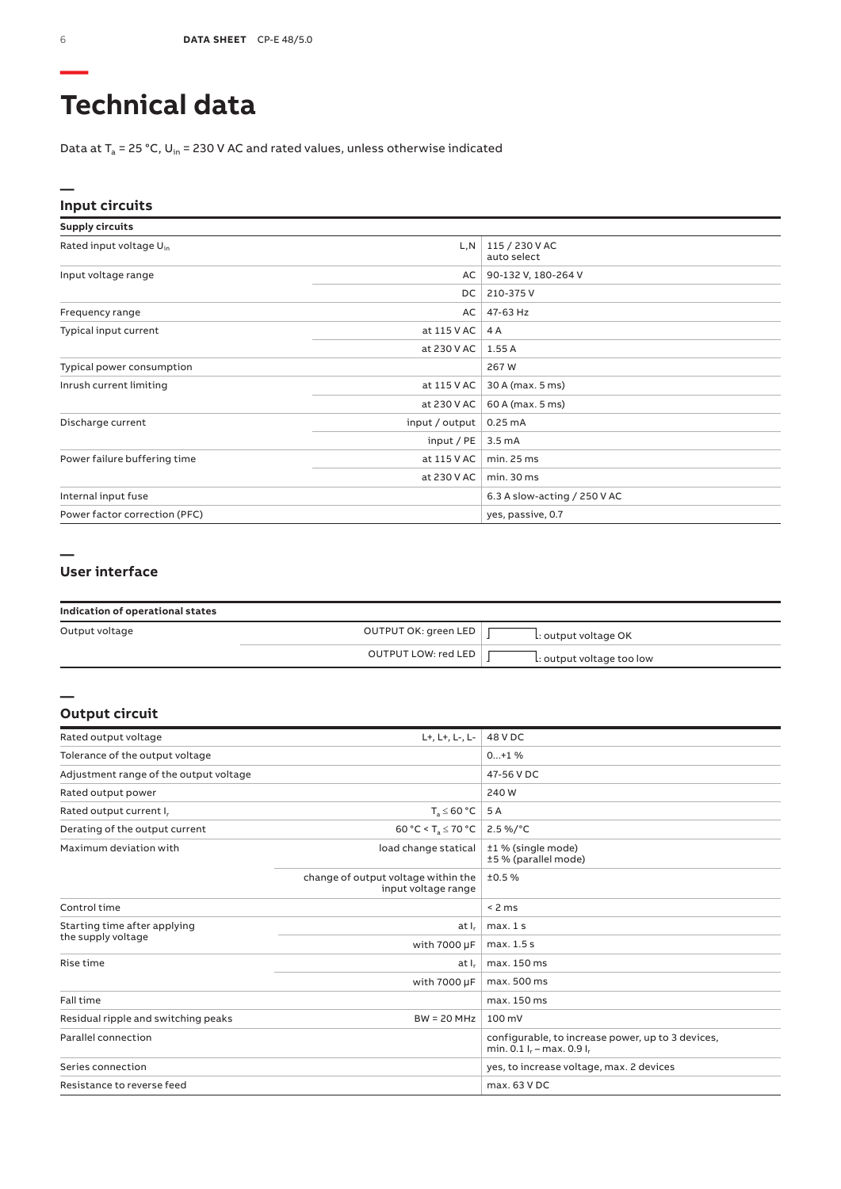# **Technical data**

Data at  $T_a$  = 25 °C, U<sub>in</sub> = 230 V AC and rated values, unless otherwise indicated

### **Input circuits**

| <b>Supply circuits</b>              |                |                               |
|-------------------------------------|----------------|-------------------------------|
| Rated input voltage U <sub>in</sub> | L,N            | 115 / 230 V AC<br>auto select |
| Input voltage range                 | AC             | 90-132 V, 180-264 V           |
|                                     | DC.            | 210-375V                      |
| Frequency range                     | AC             | 47-63 Hz                      |
| Typical input current               | at 115 V AC    | 4 A                           |
|                                     | at 230 V AC    | 1.55A                         |
| Typical power consumption           |                | 267W                          |
| Inrush current limiting             | at 115 V AC    | 30 A (max. 5 ms)              |
|                                     | at 230 V AC    | 60 A (max. 5 ms)              |
| Discharge current                   | input / output | 0.25mA                        |
|                                     | input / $PE$   | 3.5 <sub>m</sub> A            |
| Power failure buffering time        | at 115 V AC    | min.25 ms                     |
|                                     | at 230 V AC    | min.30 ms                     |
| Internal input fuse                 |                | 6.3 A slow-acting / 250 V AC  |
| Power factor correction (PFC)       |                | yes, passive, 0.7             |

### **— User interface**

| Indication of operational states |                      |                           |  |
|----------------------------------|----------------------|---------------------------|--|
| Output voltage                   | OUTPUT OK: green LED | L: output voltage OK      |  |
|                                  | OUTPUT LOW: red LED  | L: output voltage too low |  |

### **Output circuit**

**—**

| Rated output voltage                   | L+, L+, L-, L-                                             | 48 V DC                                                                            |
|----------------------------------------|------------------------------------------------------------|------------------------------------------------------------------------------------|
| Tolerance of the output voltage        |                                                            | $0+1$ %                                                                            |
| Adjustment range of the output voltage |                                                            | 47-56 V DC                                                                         |
| Rated output power                     |                                                            | 240 W                                                                              |
| Rated output current I <sub>r</sub>    | $T_a \leq 60 °C$                                           | 5 A                                                                                |
| Derating of the output current         | 60 °C < T <sub>a</sub> $\leq$ 70 °C                        | $2.5\%$ /°C                                                                        |
| Maximum deviation with                 | load change statical                                       | ±1 % (single mode)<br>±5 % (parallel mode)                                         |
|                                        | change of output voltage within the<br>input voltage range | ±0.5%                                                                              |
| Control time                           |                                                            | < 2 ms                                                                             |
| Starting time after applying           | at I.                                                      | max.1s                                                                             |
| the supply voltage                     | with 7000 µF                                               | max. 1.5 s                                                                         |
| Rise time                              | at I.                                                      | max. 150 ms                                                                        |
|                                        | with 7000 µF                                               | max. 500 ms                                                                        |
| Fall time                              |                                                            | max. 150 ms                                                                        |
| Residual ripple and switching peaks    | $BW = 20 MHz$                                              | 100 mV                                                                             |
| Parallel connection                    |                                                            | configurable, to increase power, up to 3 devices,<br>min. $0.1 I_r - max. 0.9 I_r$ |
| Series connection                      |                                                            | yes, to increase voltage, max. 2 devices                                           |
| Resistance to reverse feed             |                                                            | max. 63 V DC                                                                       |

**—**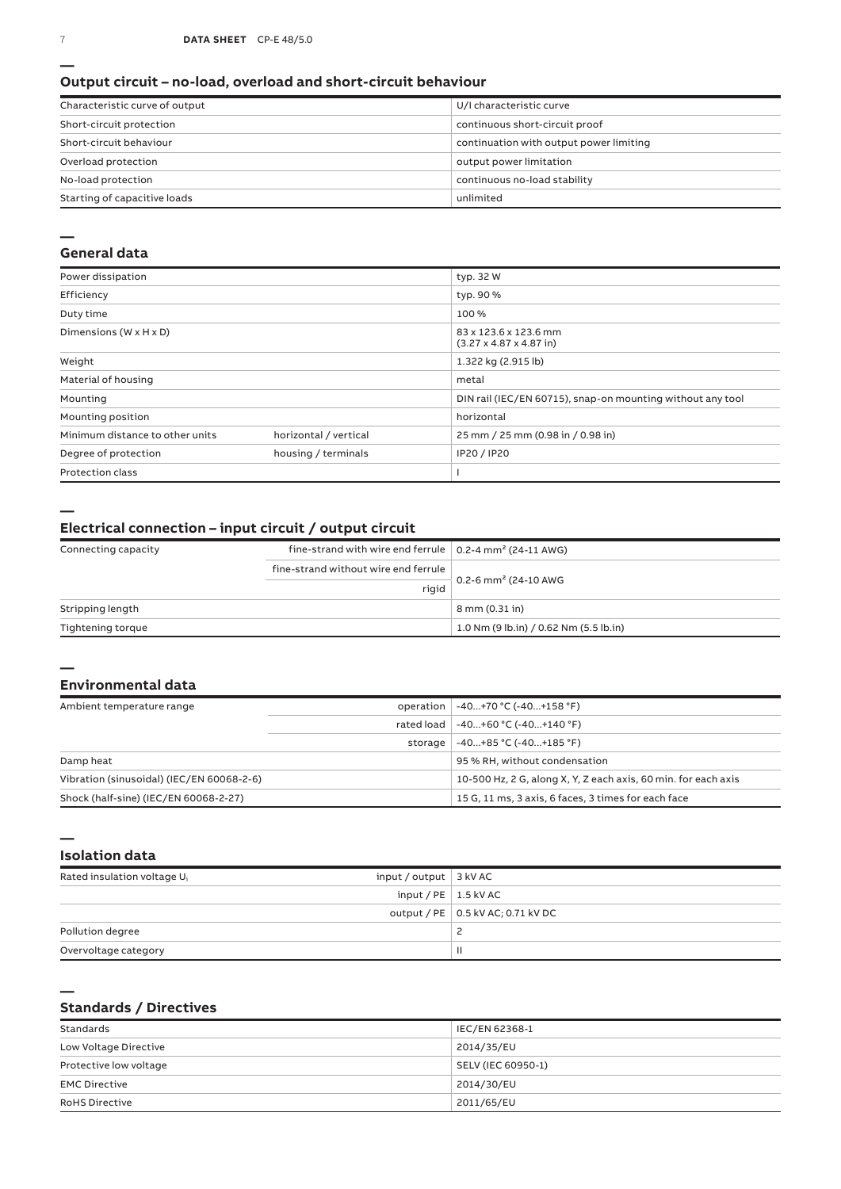### **Output circuit – no-load, overload and short-circuit behaviour**

| Characteristic curve of output | U/I characteristic curve                |
|--------------------------------|-----------------------------------------|
| Short-circuit protection       | continuous short-circuit proof          |
| Short-circuit behaviour        | continuation with output power limiting |
| Overload protection            | output power limitation                 |
| No-load protection             | continuous no-load stability            |
| Starting of capacitive loads   | unlimited                               |

#### **—**

### **General data**

| Power dissipation                    |                       | typ. 32 W                                                            |
|--------------------------------------|-----------------------|----------------------------------------------------------------------|
| Efficiency                           |                       | typ. 90 %                                                            |
| Duty time                            |                       | 100 %                                                                |
| Dimensions ( $W \times H \times D$ ) |                       | 83 x 123.6 x 123.6 mm<br>$(3.27 \times 4.87 \times 4.87 \text{ in})$ |
| Weight                               |                       | 1.322 kg (2.915 lb)                                                  |
| Material of housing                  |                       | metal                                                                |
| Mounting                             |                       | DIN rail (IEC/EN 60715), snap-on mounting without any tool           |
| Mounting position                    |                       | horizontal                                                           |
| Minimum distance to other units      | horizontal / vertical | 25 mm / 25 mm (0.98 in / 0.98 in)                                    |
| Degree of protection                 | housing / terminals   | IP20 / IP20                                                          |
| <b>Protection class</b>              |                       |                                                                      |

**—**

### **Electrical connection – input circuit / output circuit**

| Connecting capacity | fine-strand with wire end ferrule $\vert$ 0.2-4 mm <sup>2</sup> (24-11 AWG) |                                          |
|---------------------|-----------------------------------------------------------------------------|------------------------------------------|
|                     | fine-strand without wire end ferrule                                        |                                          |
|                     | rigid                                                                       | 0.2-6 mm <sup>2</sup> (24-10 AWG         |
| Stripping length    |                                                                             | 8 mm (0.31 in)                           |
| Tightening torque   |                                                                             | $1.0$ Nm (9 lb.in) / 0.62 Nm (5.5 lb.in) |

#### **—**

#### **Environmental data**

| Ambient temperature range                 |  | operation   -40+70 °C (-40+158 °F)                             |
|-------------------------------------------|--|----------------------------------------------------------------|
|                                           |  | rated load   -40+60 °C (-40+140 °F)                            |
|                                           |  | storage $-40+85$ °C $(-40+185$ °F)                             |
| Damp heat                                 |  | 95 % RH, without condensation                                  |
| Vibration (sinusoidal) (IEC/EN 60068-2-6) |  | 10-500 Hz, 2 G, along X, Y, Z each axis, 60 min. for each axis |
| Shock (half-sine) (IEC/EN 60068-2-27)     |  | 15 G, 11 ms, 3 axis, 6 faces, 3 times for each face            |

**—**

### **Isolation data**

| Rated insulation voltage U. | input / output $\vert$ 3 kV AC |                                     |
|-----------------------------|--------------------------------|-------------------------------------|
|                             | input / PE $\vert$ 1.5 kV AC   |                                     |
|                             |                                | output / PE   0.5 kV AC; 0.71 kV DC |
| Pollution degree            |                                | <u>.</u>                            |
| Overvoltage category        |                                | Ш                                   |

**—**

### **Standards / Directives**

| Standards              | IEC/EN 62368-1     |
|------------------------|--------------------|
| Low Voltage Directive  | 2014/35/EU         |
| Protective low voltage | SELV (IEC 60950-1) |
| <b>EMC Directive</b>   | 2014/30/EU         |
| <b>RoHS Directive</b>  | 2011/65/EU         |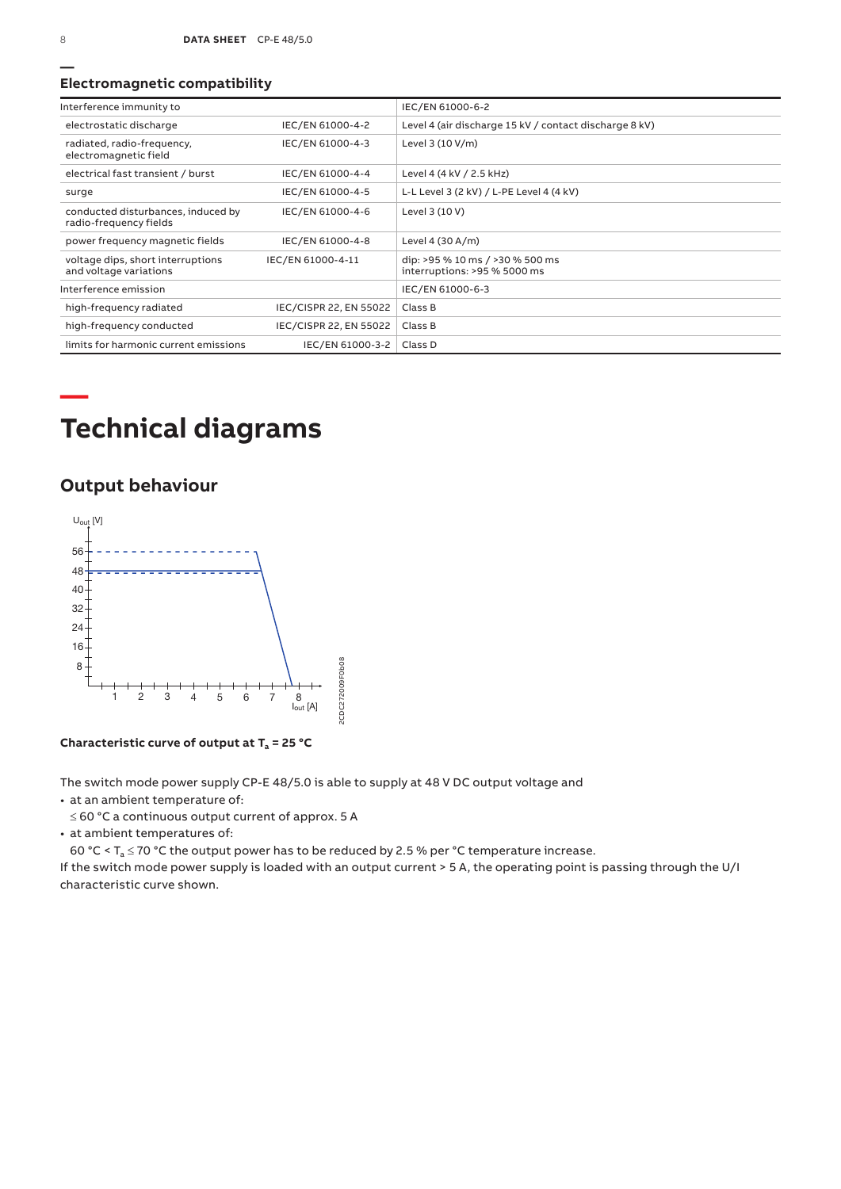### **Electromagnetic compatibility**

| Interference immunity to                                     |                        | IEC/EN 61000-6-2                                                |
|--------------------------------------------------------------|------------------------|-----------------------------------------------------------------|
| electrostatic discharge                                      | IEC/EN 61000-4-2       | Level 4 (air discharge 15 kV / contact discharge 8 kV)          |
| radiated, radio-frequency,<br>electromagnetic field          | IEC/EN 61000-4-3       | Level 3 (10 V/m)                                                |
| electrical fast transient / burst                            | IEC/EN 61000-4-4       | Level 4 (4 kV / 2.5 kHz)                                        |
| surge                                                        | IEC/EN 61000-4-5       | L-L Level 3 (2 kV) / L-PE Level 4 (4 kV)                        |
| conducted disturbances, induced by<br>radio-frequency fields | IEC/EN 61000-4-6       | Level 3 (10 V)                                                  |
| power frequency magnetic fields                              | IEC/EN 61000-4-8       | Level 4 (30 A/m)                                                |
| voltage dips, short interruptions<br>and voltage variations  | IEC/EN 61000-4-11      | dip: >95 % 10 ms / >30 % 500 ms<br>interruptions: >95 % 5000 ms |
| Interference emission                                        |                        | IEC/EN 61000-6-3                                                |
| high-frequency radiated                                      | IEC/CISPR 22, EN 55022 | Class B                                                         |
| high-frequency conducted                                     | IEC/CISPR 22, EN 55022 | Class B                                                         |
| limits for harmonic current emissions                        | IEC/EN 61000-3-2       | Class D                                                         |

# **Technical diagrams**

## **Output behaviour**



**Characteristic curve of output at Ta = 25 °C**

The switch mode power supply CP-E 48/5.0 is able to supply at 48 V DC output voltage and

• at an ambient temperature of:

≤ 60 °C a continuous output current of approx. 5 A

• at ambient temperatures of:

60 °C <  $T_a \le 70$  °C the output power has to be reduced by 2.5 % per °C temperature increase.

If the switch mode power supply is loaded with an output current > 5 A, the operating point is passing through the U/I characteristic curve shown.

**—**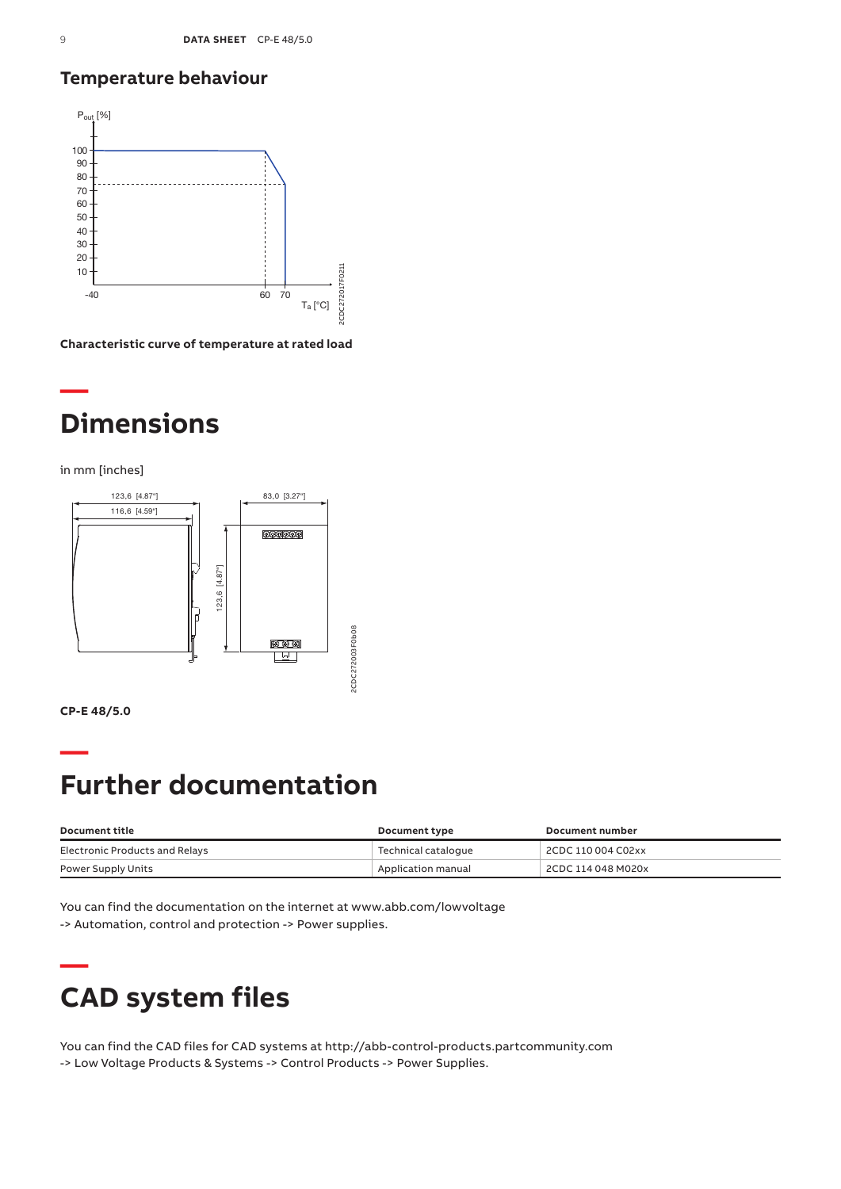## **Temperature behaviour**



**Characteristic curve of temperature at rated load**

## **— Dimensions**

in mm [inches]



**CP-E 48/5.0**

**—**

# **Further documentation**

| Document title                 | Document type       | Document number    |
|--------------------------------|---------------------|--------------------|
| Electronic Products and Relays | Technical cataloque | 2CDC 110 004 C02xx |
| Power Supply Units             | Application manual  | 2CDC 114 048 M020x |

You can find the documentation on the internet at www.abb.com/lowvoltage -> Automation, control and protection -> Power supplies.

# **— CAD system files**

You can find the CAD files for CAD systems at http://abb-control-products.partcommunity.com -> Low Voltage Products & Systems -> Control Products -> Power Supplies.